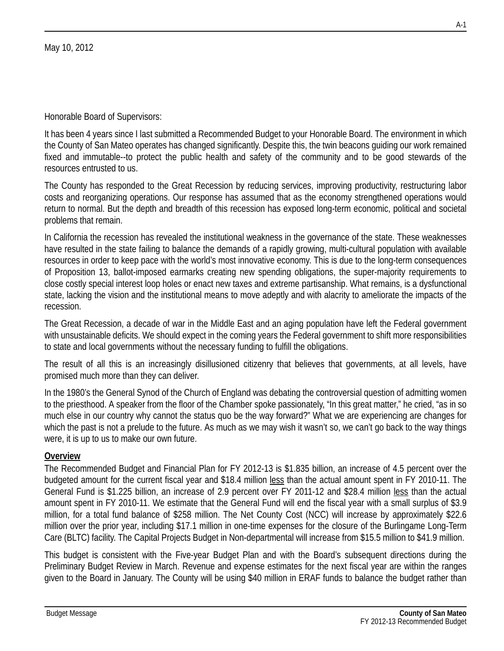It has been 4 years since I last submitted a Recommended Budget to your Honorable Board. The environment in which the County of San Mateo operates has changed significantly. Despite this, the twin beacons guiding our work remained fixed and immutable--to protect the public health and safety of the community and to be good stewards of the resources entrusted to us.

The County has responded to the Great Recession by reducing services, improving productivity, restructuring labor costs and reorganizing operations. Our response has assumed that as the economy strengthened operations would return to normal. But the depth and breadth of this recession has exposed long-term economic, political and societal problems that remain.

In California the recession has revealed the institutional weakness in the governance of the state. These weaknesses have resulted in the state failing to balance the demands of a rapidly growing, multi-cultural population with available resources in order to keep pace with the world's most innovative economy. This is due to the long-term consequences of Proposition 13, ballot-imposed earmarks creating new spending obligations, the super-majority requirements to close costly special interest loop holes or enact new taxes and extreme partisanship. What remains, is a dysfunctional state, lacking the vision and the institutional means to move adeptly and with alacrity to ameliorate the impacts of the recession.

The Great Recession, a decade of war in the Middle East and an aging population have left the Federal government with unsustainable deficits. We should expect in the coming years the Federal government to shift more responsibilities to state and local governments without the necessary funding to fulfill the obligations.

The result of all this is an increasingly disillusioned citizenry that believes that governments, at all levels, have promised much more than they can deliver.

In the 1980's the General Synod of the Church of England was debating the controversial question of admitting women to the priesthood. A speaker from the floor of the Chamber spoke passionately, "In this great matter," he cried, "as in so much else in our country why cannot the status quo be the way forward?" What we are experiencing are changes for which the past is not a prelude to the future. As much as we may wish it wasn't so, we can't go back to the way things were, it is up to us to make our own future.

#### **Overview**

The Recommended Budget and Financial Plan for FY 2012-13 is \$1.835 billion, an increase of 4.5 percent over the budgeted amount for the current fiscal year and \$18.4 million less than the actual amount spent in FY 2010-11. The General Fund is \$1.225 billion, an increase of 2.9 percent over FY 2011-12 and \$28.4 million less than the actual amount spent in FY 2010-11. We estimate that the General Fund will end the fiscal year with a small surplus of \$3.9 million, for a total fund balance of \$258 million. The Net County Cost (NCC) will increase by approximately \$22.6 million over the prior year, including \$17.1 million in one-time expenses for the closure of the Burlingame Long-Term Care (BLTC) facility. The Capital Projects Budget in Non-departmental will increase from \$15.5 million to \$41.9 million.

This budget is consistent with the Five-year Budget Plan and with the Board's subsequent directions during the Preliminary Budget Review in March. Revenue and expense estimates for the next fiscal year are within the ranges given to the Board in January. The County will be using \$40 million in ERAF funds to balance the budget rather than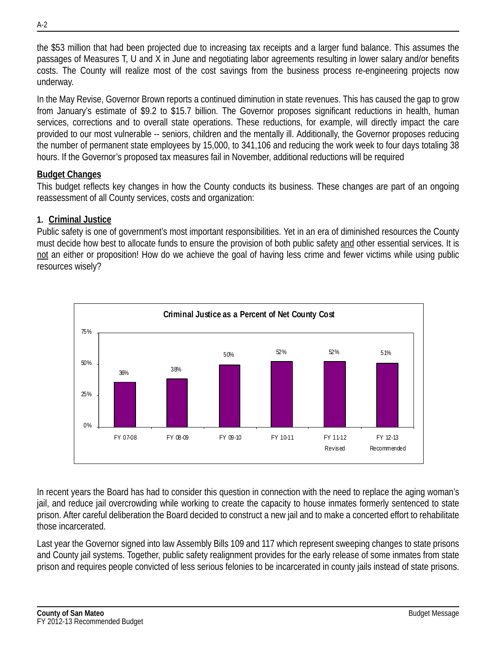the \$53 million that had been projected due to increasing tax receipts and a larger fund balance. This assumes the passages of Measures T, U and X in June and negotiating labor agreements resulting in lower salary and/or benefits costs. The County will realize most of the cost savings from the business process re-engineering projects now underway.

In the May Revise, Governor Brown reports a continued diminution in state revenues. This has caused the gap to grow from January's estimate of \$9.2 to \$15.7 billion. The Governor proposes significant reductions in health, human services, corrections and to overall state operations. These reductions, for example, will directly impact the care provided to our most vulnerable -- seniors, children and the mentally ill. Additionally, the Governor proposes reducing the number of permanent state employees by 15,000, to 341,106 and reducing the work week to four days totaling 38 hours. If the Governor's proposed tax measures fail in November, additional reductions will be required

### **Budget Changes**

This budget reflects key changes in how the County conducts its business. These changes are part of an ongoing reassessment of all County services, costs and organization:

### **1. Criminal Justice**

Public safety is one of government's most important responsibilities. Yet in an era of diminished resources the County must decide how best to allocate funds to ensure the provision of both public safety and other essential services. It is not an either or proposition! How do we achieve the goal of having less crime and fewer victims while using public resources wisely?



In recent years the Board has had to consider this question in connection with the need to replace the aging woman's jail, and reduce jail overcrowding while working to create the capacity to house inmates formerly sentenced to state prison. After careful deliberation the Board decided to construct a new jail and to make a concerted effort to rehabilitate those incarcerated.

Last year the Governor signed into law Assembly Bills 109 and 117 which represent sweeping changes to state prisons and County jail systems. Together, public safety realignment provides for the early release of some inmates from state prison and requires people convicted of less serious felonies to be incarcerated in county jails instead of state prisons.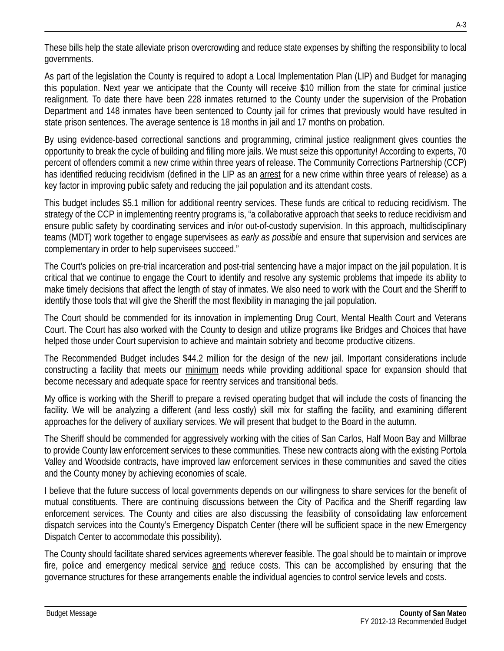These bills help the state alleviate prison overcrowding and reduce state expenses by shifting the responsibility to local governments.

As part of the legislation the County is required to adopt a Local Implementation Plan (LIP) and Budget for managing this population. Next year we anticipate that the County will receive \$10 million from the state for criminal justice realignment. To date there have been 228 inmates returned to the County under the supervision of the Probation Department and 148 inmates have been sentenced to County jail for crimes that previously would have resulted in state prison sentences. The average sentence is 18 months in jail and 17 months on probation.

By using evidence-based correctional sanctions and programming, criminal justice realignment gives counties the opportunity to break the cycle of building and filling more jails. We must seize this opportunity! According to experts, 70 percent of offenders commit a new crime within three years of release. The Community Corrections Partnership (CCP) has identified reducing recidivism (defined in the LIP as an arrest for a new crime within three years of release) as a key factor in improving public safety and reducing the jail population and its attendant costs.

This budget includes \$5.1 million for additional reentry services. These funds are critical to reducing recidivism. The strategy of the CCP in implementing reentry programs is, "a collaborative approach that seeks to reduce recidivism and ensure public safety by coordinating services and in/or out-of-custody supervision. In this approach, multidisciplinary teams (MDT) work together to engage supervisees as *early as possible* and ensure that supervision and services are complementary in order to help supervisees succeed."

The Court's policies on pre-trial incarceration and post-trial sentencing have a major impact on the jail population. It is critical that we continue to engage the Court to identify and resolve any systemic problems that impede its ability to make timely decisions that affect the length of stay of inmates. We also need to work with the Court and the Sheriff to identify those tools that will give the Sheriff the most flexibility in managing the jail population.

The Court should be commended for its innovation in implementing Drug Court, Mental Health Court and Veterans Court. The Court has also worked with the County to design and utilize programs like Bridges and Choices that have helped those under Court supervision to achieve and maintain sobriety and become productive citizens.

The Recommended Budget includes \$44.2 million for the design of the new jail. Important considerations include constructing a facility that meets our minimum needs while providing additional space for expansion should that become necessary and adequate space for reentry services and transitional beds.

My office is working with the Sheriff to prepare a revised operating budget that will include the costs of financing the facility. We will be analyzing a different (and less costly) skill mix for staffing the facility, and examining different approaches for the delivery of auxiliary services. We will present that budget to the Board in the autumn.

The Sheriff should be commended for aggressively working with the cities of San Carlos, Half Moon Bay and Millbrae to provide County law enforcement services to these communities. These new contracts along with the existing Portola Valley and Woodside contracts, have improved law enforcement services in these communities and saved the cities and the County money by achieving economies of scale.

I believe that the future success of local governments depends on our willingness to share services for the benefit of mutual constituents. There are continuing discussions between the City of Pacifica and the Sheriff regarding law enforcement services. The County and cities are also discussing the feasibility of consolidating law enforcement dispatch services into the County's Emergency Dispatch Center (there will be sufficient space in the new Emergency Dispatch Center to accommodate this possibility).

The County should facilitate shared services agreements wherever feasible. The goal should be to maintain or improve fire, police and emergency medical service and reduce costs. This can be accomplished by ensuring that the governance structures for these arrangements enable the individual agencies to control service levels and costs.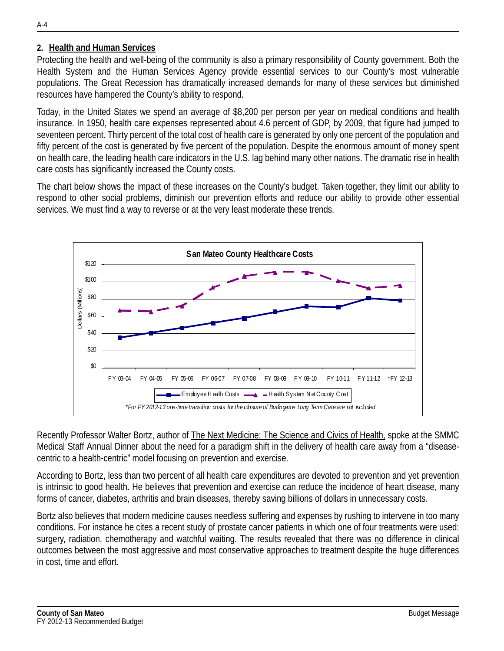#### **2. Health and Human Services**

Protecting the health and well-being of the community is also a primary responsibility of County government. Both the Health System and the Human Services Agency provide essential services to our County's most vulnerable populations. The Great Recession has dramatically increased demands for many of these services but diminished resources have hampered the County's ability to respond.

Today, in the United States we spend an average of \$8,200 per person per year on medical conditions and health insurance. In 1950, health care expenses represented about 4.6 percent of GDP, by 2009, that figure had jumped to seventeen percent. Thirty percent of the total cost of health care is generated by only one percent of the population and fifty percent of the cost is generated by five percent of the population. Despite the enormous amount of money spent on health care, the leading health care indicators in the U.S. lag behind many other nations. The dramatic rise in health care costs has significantly increased the County costs.

The chart below shows the impact of these increases on the County's budget. Taken together, they limit our ability to respond to other social problems, diminish our prevention efforts and reduce our ability to provide other essential services. We must find a way to reverse or at the very least moderate these trends.



Recently Professor Walter Bortz, author of The Next Medicine: The Science and Civics of Health, spoke at the SMMC Medical Staff Annual Dinner about the need for a paradigm shift in the delivery of health care away from a "diseasecentric to a health-centric" model focusing on prevention and exercise.

According to Bortz, less than two percent of all health care expenditures are devoted to prevention and yet prevention is intrinsic to good health. He believes that prevention and exercise can reduce the incidence of heart disease, many forms of cancer, diabetes, arthritis and brain diseases, thereby saving billions of dollars in unnecessary costs.

Bortz also believes that modern medicine causes needless suffering and expenses by rushing to intervene in too many conditions. For instance he cites a recent study of prostate cancer patients in which one of four treatments were used: surgery, radiation, chemotherapy and watchful waiting. The results revealed that there was no difference in clinical outcomes between the most aggressive and most conservative approaches to treatment despite the huge differences in cost, time and effort.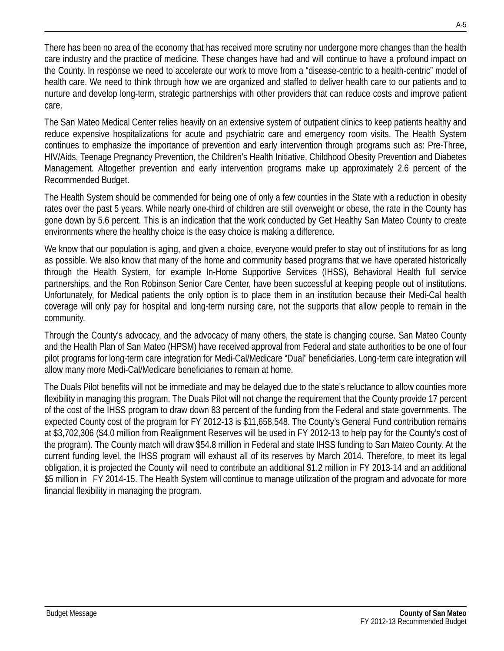There has been no area of the economy that has received more scrutiny nor undergone more changes than the health care industry and the practice of medicine. These changes have had and will continue to have a profound impact on the County. In response we need to accelerate our work to move from a "disease-centric to a health-centric" model of health care. We need to think through how we are organized and staffed to deliver health care to our patients and to nurture and develop long-term, strategic partnerships with other providers that can reduce costs and improve patient care.

The San Mateo Medical Center relies heavily on an extensive system of outpatient clinics to keep patients healthy and reduce expensive hospitalizations for acute and psychiatric care and emergency room visits. The Health System continues to emphasize the importance of prevention and early intervention through programs such as: Pre-Three, HIV/Aids, Teenage Pregnancy Prevention, the Children's Health Initiative, Childhood Obesity Prevention and Diabetes Management. Altogether prevention and early intervention programs make up approximately 2.6 percent of the Recommended Budget.

The Health System should be commended for being one of only a few counties in the State with a reduction in obesity rates over the past 5 years. While nearly one-third of children are still overweight or obese, the rate in the County has gone down by 5.6 percent. This is an indication that the work conducted by Get Healthy San Mateo County to create environments where the healthy choice is the easy choice is making a difference.

We know that our population is aging, and given a choice, everyone would prefer to stay out of institutions for as long as possible. We also know that many of the home and community based programs that we have operated historically through the Health System, for example In-Home Supportive Services (IHSS), Behavioral Health full service partnerships, and the Ron Robinson Senior Care Center, have been successful at keeping people out of institutions. Unfortunately, for Medical patients the only option is to place them in an institution because their Medi-Cal health coverage will only pay for hospital and long-term nursing care, not the supports that allow people to remain in the community.

Through the County's advocacy, and the advocacy of many others, the state is changing course. San Mateo County and the Health Plan of San Mateo (HPSM) have received approval from Federal and state authorities to be one of four pilot programs for long-term care integration for Medi-Cal/Medicare "Dual" beneficiaries. Long-term care integration will allow many more Medi-Cal/Medicare beneficiaries to remain at home.

The Duals Pilot benefits will not be immediate and may be delayed due to the state's reluctance to allow counties more flexibility in managing this program. The Duals Pilot will not change the requirement that the County provide 17 percent of the cost of the IHSS program to draw down 83 percent of the funding from the Federal and state governments. The expected County cost of the program for FY 2012-13 is \$11,658,548. The County's General Fund contribution remains at \$3,702,306 (\$4.0 million from Realignment Reserves will be used in FY 2012-13 to help pay for the County's cost of the program). The County match will draw \$54.8 million in Federal and state IHSS funding to San Mateo County. At the current funding level, the IHSS program will exhaust all of its reserves by March 2014. Therefore, to meet its legal obligation, it is projected the County will need to contribute an additional \$1.2 million in FY 2013-14 and an additional \$5 million in FY 2014-15. The Health System will continue to manage utilization of the program and advocate for more financial flexibility in managing the program.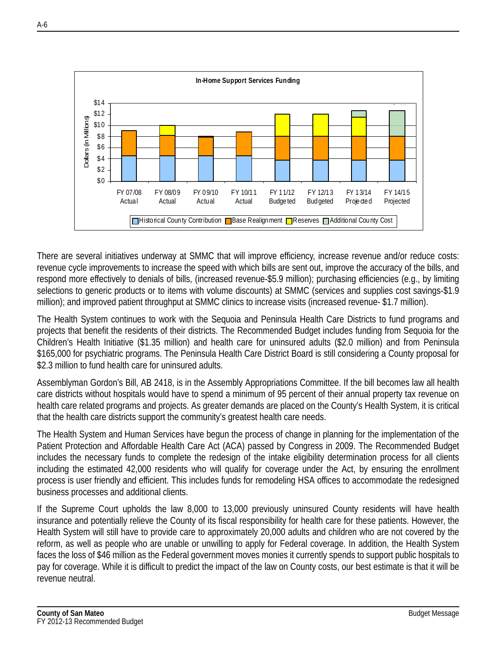

There are several initiatives underway at SMMC that will improve efficiency, increase revenue and/or reduce costs: revenue cycle improvements to increase the speed with which bills are sent out, improve the accuracy of the bills, and respond more effectively to denials of bills, (increased revenue-\$5.9 million); purchasing efficiencies (e.g., by limiting selections to generic products or to items with volume discounts) at SMMC (services and supplies cost savings-\$1.9 million); and improved patient throughput at SMMC clinics to increase visits (increased revenue- \$1.7 million).

The Health System continues to work with the Sequoia and Peninsula Health Care Districts to fund programs and projects that benefit the residents of their districts. The Recommended Budget includes funding from Sequoia for the Children's Health Initiative (\$1.35 million) and health care for uninsured adults (\$2.0 million) and from Peninsula \$165,000 for psychiatric programs. The Peninsula Health Care District Board is still considering a County proposal for \$2.3 million to fund health care for uninsured adults.

Assemblyman Gordon's Bill, AB 2418, is in the Assembly Appropriations Committee. If the bill becomes law all health care districts without hospitals would have to spend a minimum of 95 percent of their annual property tax revenue on health care related programs and projects. As greater demands are placed on the County's Health System, it is critical that the health care districts support the community's greatest health care needs.

The Health System and Human Services have begun the process of change in planning for the implementation of the Patient Protection and Affordable Health Care Act (ACA) passed by Congress in 2009. The Recommended Budget includes the necessary funds to complete the redesign of the intake eligibility determination process for all clients including the estimated 42,000 residents who will qualify for coverage under the Act, by ensuring the enrollment process is user friendly and efficient. This includes funds for remodeling HSA offices to accommodate the redesigned business processes and additional clients.

If the Supreme Court upholds the law 8,000 to 13,000 previously uninsured County residents will have health insurance and potentially relieve the County of its fiscal responsibility for health care for these patients. However, the Health System will still have to provide care to approximately 20,000 adults and children who are not covered by the reform, as well as people who are unable or unwilling to apply for Federal coverage. In addition, the Health System faces the loss of \$46 million as the Federal government moves monies it currently spends to support public hospitals to pay for coverage. While it is difficult to predict the impact of the law on County costs, our best estimate is that it will be revenue neutral.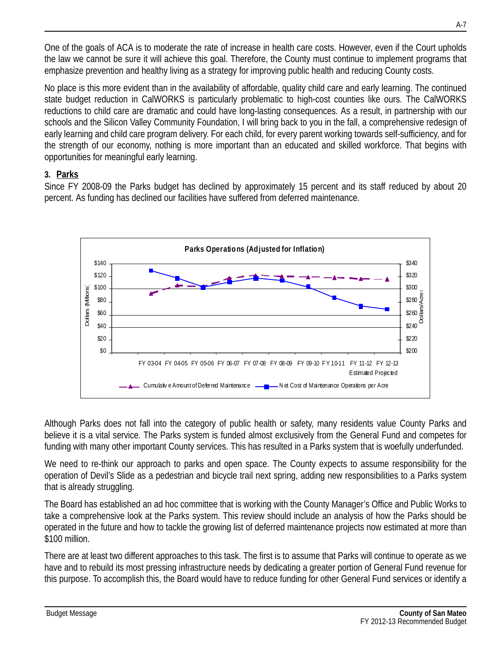One of the goals of ACA is to moderate the rate of increase in health care costs. However, even if the Court upholds the law we cannot be sure it will achieve this goal. Therefore, the County must continue to implement programs that emphasize prevention and healthy living as a strategy for improving public health and reducing County costs.

No place is this more evident than in the availability of affordable, quality child care and early learning. The continued state budget reduction in CalWORKS is particularly problematic to high-cost counties like ours. The CalWORKS reductions to child care are dramatic and could have long-lasting consequences. As a result, in partnership with our schools and the Silicon Valley Community Foundation, I will bring back to you in the fall, a comprehensive redesign of early learning and child care program delivery. For each child, for every parent working towards self-sufficiency, and for the strength of our economy, nothing is more important than an educated and skilled workforce. That begins with opportunities for meaningful early learning.

### **3. Parks**

Since FY 2008-09 the Parks budget has declined by approximately 15 percent and its staff reduced by about 20 percent. As funding has declined our facilities have suffered from deferred maintenance.



Although Parks does not fall into the category of public health or safety, many residents value County Parks and believe it is a vital service. The Parks system is funded almost exclusively from the General Fund and competes for funding with many other important County services. This has resulted in a Parks system that is woefully underfunded.

We need to re-think our approach to parks and open space. The County expects to assume responsibility for the operation of Devil's Slide as a pedestrian and bicycle trail next spring, adding new responsibilities to a Parks system that is already struggling.

The Board has established an ad hoc committee that is working with the County Manager's Office and Public Works to take a comprehensive look at the Parks system. This review should include an analysis of how the Parks should be operated in the future and how to tackle the growing list of deferred maintenance projects now estimated at more than \$100 million.

There are at least two different approaches to this task. The first is to assume that Parks will continue to operate as we have and to rebuild its most pressing infrastructure needs by dedicating a greater portion of General Fund revenue for this purpose. To accomplish this, the Board would have to reduce funding for other General Fund services or identify a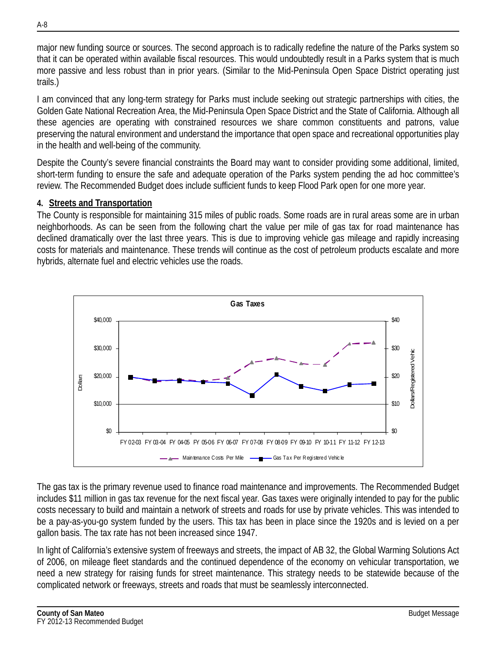major new funding source or sources. The second approach is to radically redefine the nature of the Parks system so that it can be operated within available fiscal resources. This would undoubtedly result in a Parks system that is much more passive and less robust than in prior years. (Similar to the Mid-Peninsula Open Space District operating just trails.)

I am convinced that any long-term strategy for Parks must include seeking out strategic partnerships with cities, the Golden Gate National Recreation Area, the Mid-Peninsula Open Space District and the State of California. Although all these agencies are operating with constrained resources we share common constituents and patrons, value preserving the natural environment and understand the importance that open space and recreational opportunities play in the health and well-being of the community.

Despite the County's severe financial constraints the Board may want to consider providing some additional, limited, short-term funding to ensure the safe and adequate operation of the Parks system pending the ad hoc committee's review. The Recommended Budget does include sufficient funds to keep Flood Park open for one more year.

#### **4. Streets and Transportation**

The County is responsible for maintaining 315 miles of public roads. Some roads are in rural areas some are in urban neighborhoods. As can be seen from the following chart the value per mile of gas tax for road maintenance has declined dramatically over the last three years. This is due to improving vehicle gas mileage and rapidly increasing costs for materials and maintenance. These trends will continue as the cost of petroleum products escalate and more hybrids, alternate fuel and electric vehicles use the roads.



The gas tax is the primary revenue used to finance road maintenance and improvements. The Recommended Budget includes \$11 million in gas tax revenue for the next fiscal year. Gas taxes were originally intended to pay for the public costs necessary to build and maintain a network of streets and roads for use by private vehicles. This was intended to be a pay-as-you-go system funded by the users. This tax has been in place since the 1920s and is levied on a per gallon basis. The tax rate has not been increased since 1947.

In light of California's extensive system of freeways and streets, the impact of AB 32, the Global Warming Solutions Act of 2006, on mileage fleet standards and the continued dependence of the economy on vehicular transportation, we need a new strategy for raising funds for street maintenance. This strategy needs to be statewide because of the complicated network or freeways, streets and roads that must be seamlessly interconnected.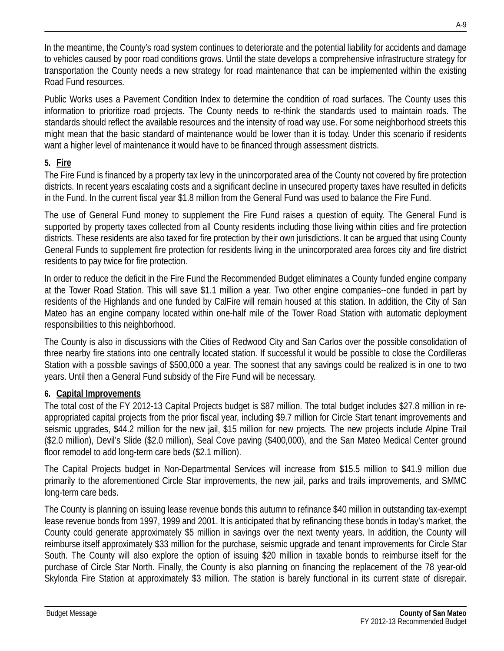In the meantime, the County's road system continues to deteriorate and the potential liability for accidents and damage to vehicles caused by poor road conditions grows. Until the state develops a comprehensive infrastructure strategy for transportation the County needs a new strategy for road maintenance that can be implemented within the existing Road Fund resources.

Public Works uses a Pavement Condition Index to determine the condition of road surfaces. The County uses this information to prioritize road projects. The County needs to re-think the standards used to maintain roads. The standards should reflect the available resources and the intensity of road way use. For some neighborhood streets this might mean that the basic standard of maintenance would be lower than it is today. Under this scenario if residents want a higher level of maintenance it would have to be financed through assessment districts.

## **5. Fire**

The Fire Fund is financed by a property tax levy in the unincorporated area of the County not covered by fire protection districts. In recent years escalating costs and a significant decline in unsecured property taxes have resulted in deficits in the Fund. In the current fiscal year \$1.8 million from the General Fund was used to balance the Fire Fund.

The use of General Fund money to supplement the Fire Fund raises a question of equity. The General Fund is supported by property taxes collected from all County residents including those living within cities and fire protection districts. These residents are also taxed for fire protection by their own jurisdictions. It can be argued that using County General Funds to supplement fire protection for residents living in the unincorporated area forces city and fire district residents to pay twice for fire protection.

In order to reduce the deficit in the Fire Fund the Recommended Budget eliminates a County funded engine company at the Tower Road Station. This will save \$1.1 million a year. Two other engine companies--one funded in part by residents of the Highlands and one funded by CalFire will remain housed at this station. In addition, the City of San Mateo has an engine company located within one-half mile of the Tower Road Station with automatic deployment responsibilities to this neighborhood.

The County is also in discussions with the Cities of Redwood City and San Carlos over the possible consolidation of three nearby fire stations into one centrally located station. If successful it would be possible to close the Cordilleras Station with a possible savings of \$500,000 a year. The soonest that any savings could be realized is in one to two years. Until then a General Fund subsidy of the Fire Fund will be necessary.

### **6. Capital Improvements**

The total cost of the FY 2012-13 Capital Projects budget is \$87 million. The total budget includes \$27.8 million in reappropriated capital projects from the prior fiscal year, including \$9.7 million for Circle Start tenant improvements and seismic upgrades, \$44.2 million for the new jail, \$15 million for new projects. The new projects include Alpine Trail (\$2.0 million), Devil's Slide (\$2.0 million), Seal Cove paving (\$400,000), and the San Mateo Medical Center ground floor remodel to add long-term care beds (\$2.1 million).

The Capital Projects budget in Non-Departmental Services will increase from \$15.5 million to \$41.9 million due primarily to the aforementioned Circle Star improvements, the new jail, parks and trails improvements, and SMMC long-term care beds.

The County is planning on issuing lease revenue bonds this autumn to refinance \$40 million in outstanding tax-exempt lease revenue bonds from 1997, 1999 and 2001. It is anticipated that by refinancing these bonds in today's market, the County could generate approximately \$5 million in savings over the next twenty years. In addition, the County will reimburse itself approximately \$33 million for the purchase, seismic upgrade and tenant improvements for Circle Star South. The County will also explore the option of issuing \$20 million in taxable bonds to reimburse itself for the purchase of Circle Star North. Finally, the County is also planning on financing the replacement of the 78 year-old Skylonda Fire Station at approximately \$3 million. The station is barely functional in its current state of disrepair.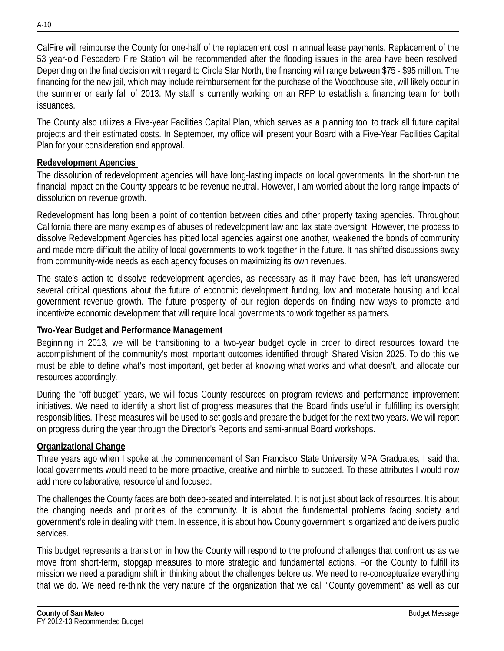CalFire will reimburse the County for one-half of the replacement cost in annual lease payments. Replacement of the 53 year-old Pescadero Fire Station will be recommended after the flooding issues in the area have been resolved. Depending on the final decision with regard to Circle Star North, the financing will range between \$75 - \$95 million. The financing for the new jail, which may include reimbursement for the purchase of the Woodhouse site, will likely occur in the summer or early fall of 2013. My staff is currently working on an RFP to establish a financing team for both issuances.

The County also utilizes a Five-year Facilities Capital Plan, which serves as a planning tool to track all future capital projects and their estimated costs. In September, my office will present your Board with a Five-Year Facilities Capital Plan for your consideration and approval.

#### **Redevelopment Agencies**

The dissolution of redevelopment agencies will have long-lasting impacts on local governments. In the short-run the financial impact on the County appears to be revenue neutral. However, I am worried about the long-range impacts of dissolution on revenue growth.

Redevelopment has long been a point of contention between cities and other property taxing agencies. Throughout California there are many examples of abuses of redevelopment law and lax state oversight. However, the process to dissolve Redevelopment Agencies has pitted local agencies against one another, weakened the bonds of community and made more difficult the ability of local governments to work together in the future. It has shifted discussions away from community-wide needs as each agency focuses on maximizing its own revenues.

The state's action to dissolve redevelopment agencies, as necessary as it may have been, has left unanswered several critical questions about the future of economic development funding, low and moderate housing and local government revenue growth. The future prosperity of our region depends on finding new ways to promote and incentivize economic development that will require local governments to work together as partners.

### **Two-Year Budget and Performance Management**

Beginning in 2013, we will be transitioning to a two-year budget cycle in order to direct resources toward the accomplishment of the community's most important outcomes identified through Shared Vision 2025. To do this we must be able to define what's most important, get better at knowing what works and what doesn't, and allocate our resources accordingly.

During the "off-budget" years, we will focus County resources on program reviews and performance improvement initiatives. We need to identify a short list of progress measures that the Board finds useful in fulfilling its oversight responsibilities. These measures will be used to set goals and prepare the budget for the next two years. We will report on progress during the year through the Director's Reports and semi-annual Board workshops.

# **Organizational Change**

Three years ago when I spoke at the commencement of San Francisco State University MPA Graduates, I said that local governments would need to be more proactive, creative and nimble to succeed. To these attributes I would now add more collaborative, resourceful and focused.

The challenges the County faces are both deep-seated and interrelated. It is not just about lack of resources. It is about the changing needs and priorities of the community. It is about the fundamental problems facing society and government's role in dealing with them. In essence, it is about how County government is organized and delivers public services.

This budget represents a transition in how the County will respond to the profound challenges that confront us as we move from short-term, stopgap measures to more strategic and fundamental actions. For the County to fulfill its mission we need a paradigm shift in thinking about the challenges before us. We need to re-conceptualize everything that we do. We need re-think the very nature of the organization that we call "County government" as well as our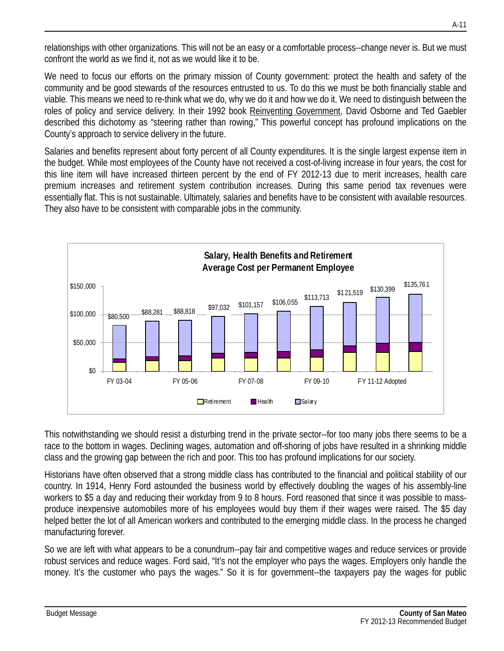relationships with other organizations. This will not be an easy or a comfortable process--change never is. But we must confront the world as we find it, not as we would like it to be.

We need to focus our efforts on the primary mission of County government: protect the health and safety of the community and be good stewards of the resources entrusted to us. To do this we must be both financially stable and viable. This means we need to re-think what we do, why we do it and how we do it. We need to distinguish between the roles of policy and service delivery. In their 1992 book Reinventing Government, David Osborne and Ted Gaebler described this dichotomy as "steering rather than rowing," This powerful concept has profound implications on the County's approach to service delivery in the future.

Salaries and benefits represent about forty percent of all County expenditures. It is the single largest expense item in the budget. While most employees of the County have not received a cost-of-living increase in four years, the cost for this line item will have increased thirteen percent by the end of FY 2012-13 due to merit increases, health care premium increases and retirement system contribution increases. During this same period tax revenues were essentially flat. This is not sustainable. Ultimately, salaries and benefits have to be consistent with available resources. They also have to be consistent with comparable jobs in the community.



This notwithstanding we should resist a disturbing trend in the private sector--for too many jobs there seems to be a race to the bottom in wages. Declining wages, automation and off-shoring of jobs have resulted in a shrinking middle class and the growing gap between the rich and poor. This too has profound implications for our society.

Historians have often observed that a strong middle class has contributed to the financial and political stability of our country. In 1914, Henry Ford astounded the business world by effectively doubling the wages of his assembly-line workers to \$5 a day and reducing their workday from 9 to 8 hours. Ford reasoned that since it was possible to massproduce inexpensive automobiles more of his employees would buy them if their wages were raised. The \$5 day helped better the lot of all American workers and contributed to the emerging middle class. In the process he changed manufacturing forever.

So we are left with what appears to be a conundrum--pay fair and competitive wages and reduce services or provide robust services and reduce wages. Ford said, "It's not the employer who pays the wages. Employers only handle the money. It's the customer who pays the wages." So it is for government--the taxpayers pay the wages for public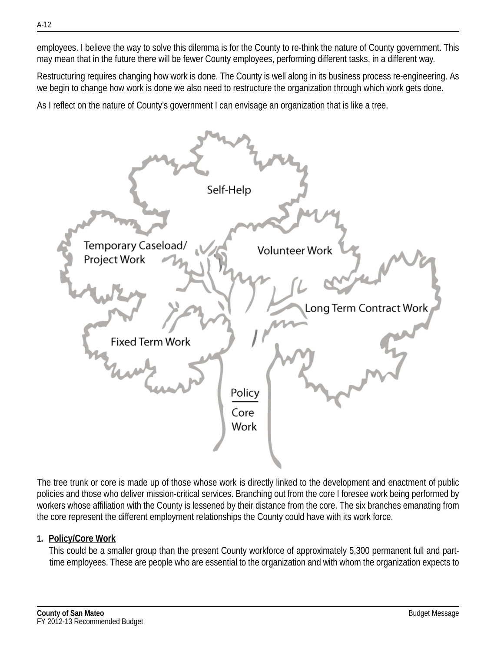employees. I believe the way to solve this dilemma is for the County to re-think the nature of County government. This may mean that in the future there will be fewer County employees, performing different tasks, in a different way.

Restructuring requires changing how work is done. The County is well along in its business process re-engineering. As we begin to change how work is done we also need to restructure the organization through which work gets done.

As I reflect on the nature of County's government I can envisage an organization that is like a tree.



The tree trunk or core is made up of those whose work is directly linked to the development and enactment of public policies and those who deliver mission-critical services. Branching out from the core I foresee work being performed by workers whose affiliation with the County is lessened by their distance from the core. The six branches emanating from the core represent the different employment relationships the County could have with its work force.

#### **1. Policy/Core Work**

This could be a smaller group than the present County workforce of approximately 5,300 permanent full and parttime employees. These are people who are essential to the organization and with whom the organization expects to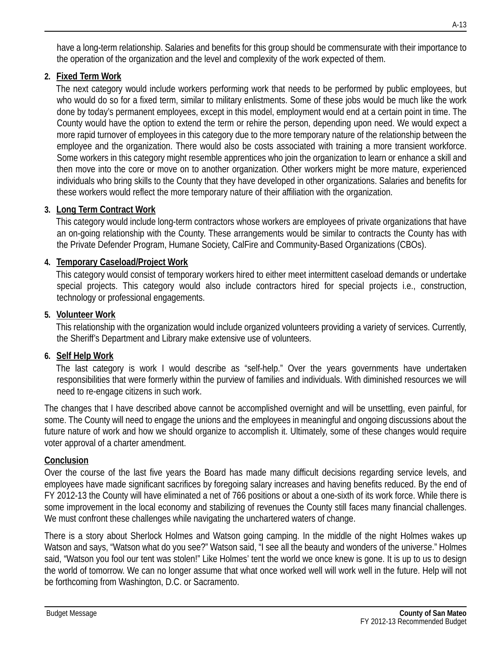have a long-term relationship. Salaries and benefits for this group should be commensurate with their importance to the operation of the organization and the level and complexity of the work expected of them.

### **2. Fixed Term Work**

The next category would include workers performing work that needs to be performed by public employees, but who would do so for a fixed term, similar to military enlistments. Some of these jobs would be much like the work done by today's permanent employees, except in this model, employment would end at a certain point in time. The County would have the option to extend the term or rehire the person, depending upon need. We would expect a more rapid turnover of employees in this category due to the more temporary nature of the relationship between the employee and the organization. There would also be costs associated with training a more transient workforce. Some workers in this category might resemble apprentices who join the organization to learn or enhance a skill and then move into the core or move on to another organization. Other workers might be more mature, experienced individuals who bring skills to the County that they have developed in other organizations. Salaries and benefits for these workers would reflect the more temporary nature of their affiliation with the organization.

# **3. Long Term Contract Work**

This category would include long-term contractors whose workers are employees of private organizations that have an on-going relationship with the County. These arrangements would be similar to contracts the County has with the Private Defender Program, Humane Society, CalFire and Community-Based Organizations (CBOs).

## **4. Temporary Caseload/Project Work**

This category would consist of temporary workers hired to either meet intermittent caseload demands or undertake special projects. This category would also include contractors hired for special projects i.e., construction, technology or professional engagements.

## **5. Volunteer Work**

This relationship with the organization would include organized volunteers providing a variety of services. Currently, the Sheriff's Department and Library make extensive use of volunteers.

# **6. Self Help Work**

The last category is work I would describe as "self-help." Over the years governments have undertaken responsibilities that were formerly within the purview of families and individuals. With diminished resources we will need to re-engage citizens in such work.

The changes that I have described above cannot be accomplished overnight and will be unsettling, even painful, for some. The County will need to engage the unions and the employees in meaningful and ongoing discussions about the future nature of work and how we should organize to accomplish it. Ultimately, some of these changes would require voter approval of a charter amendment.

# **Conclusion**

Over the course of the last five years the Board has made many difficult decisions regarding service levels, and employees have made significant sacrifices by foregoing salary increases and having benefits reduced. By the end of FY 2012-13 the County will have eliminated a net of 766 positions or about a one-sixth of its work force. While there is some improvement in the local economy and stabilizing of revenues the County still faces many financial challenges. We must confront these challenges while navigating the unchartered waters of change.

There is a story about Sherlock Holmes and Watson going camping. In the middle of the night Holmes wakes up Watson and says, "Watson what do you see?" Watson said, "I see all the beauty and wonders of the universe." Holmes said, "Watson you fool our tent was stolen!" Like Holmes' tent the world we once knew is gone. It is up to us to design the world of tomorrow. We can no longer assume that what once worked well will work well in the future. Help will not be forthcoming from Washington, D.C. or Sacramento.